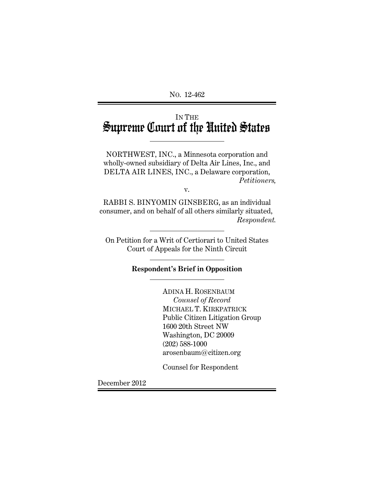NO. 12-462

# IN THE Supreme Court of the United States

l

l

l

ı

NORTHWEST, INC., a Minnesota corporation and wholly-owned subsidiary of Delta Air Lines, Inc., and DELTA AIR LINES, INC., a Delaware corporation, *Petitioners,*

v.

RABBI S. BINYOMIN GINSBERG, as an individual consumer, and on behalf of all others similarly situated, *Respondent.*

On Petition for a Writ of Certiorari to United States Court of Appeals for the Ninth Circuit

### **Respondent's Brief in Opposition**

ADINA H. ROSENBAUM *Counsel of Record* MICHAEL T. KIRKPATRICK Public Citizen Litigation Group 1600 20th Street NW Washington, DC 20009 (202) 588-1000 arosenbaum@citizen.org

Counsel for Respondent

December 2012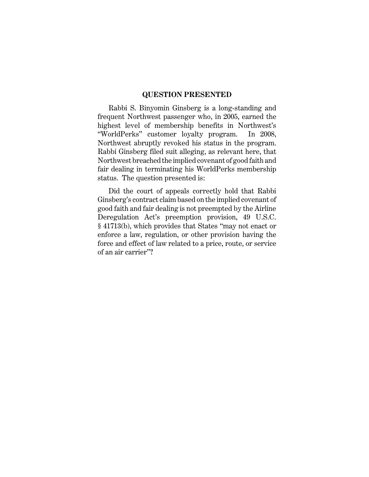#### **QUESTION PRESENTED**

Rabbi S. Binyomin Ginsberg is a long-standing and frequent Northwest passenger who, in 2005, earned the highest level of membership benefits in Northwest's "WorldPerks" customer loyalty program. In 2008, Northwest abruptly revoked his status in the program. Rabbi Ginsberg filed suit alleging, as relevant here, that Northwest breached the implied covenant of good faith and fair dealing in terminating his WorldPerks membership status. The question presented is:

Did the court of appeals correctly hold that Rabbi Ginsberg's contract claim based on the implied covenant of good faith and fair dealing is not preempted by the Airline Deregulation Act's preemption provision, 49 U.S.C. § 41713(b), which provides that States "may not enact or enforce a law, regulation, or other provision having the force and effect of law related to a price, route, or service of an air carrier"?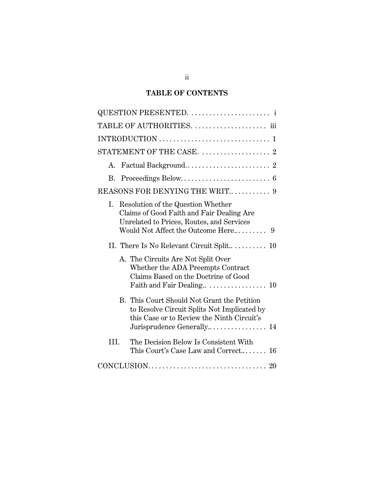# **TABLE OF CONTENTS**

| QUESTION PRESENTED.  i                                                                                                                   |
|------------------------------------------------------------------------------------------------------------------------------------------|
| TABLE OF AUTHORITIES.  iii                                                                                                               |
|                                                                                                                                          |
|                                                                                                                                          |
| A.                                                                                                                                       |
| B.                                                                                                                                       |
|                                                                                                                                          |
| Resolution of the Question Whether<br>I.<br>Claims of Good Faith and Fair Dealing Are<br>Unrelated to Prices, Routes, and Services       |
|                                                                                                                                          |
| A. The Circuits Are Not Split Over<br>Whether the ADA Preempts Contract<br>Claims Based on the Doctrine of Good                          |
| B. This Court Should Not Grant the Petition<br>to Resolve Circuit Splits Not Implicated by<br>this Case or to Review the Ninth Circuit's |
| III.<br>The Decision Below Is Consistent With<br>This Court's Case Law and Correct $16$                                                  |
|                                                                                                                                          |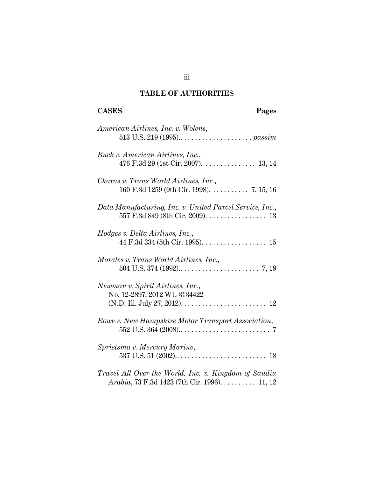# **TABLE OF AUTHORITIES**

# **CASES Pages**

| American Airlines, Inc. v. Wolens,                                                                   |
|------------------------------------------------------------------------------------------------------|
| Buck v. American Airlines, Inc.,                                                                     |
| Charas v. Trans World Airlines, Inc.,<br>$160$ F.3d $1259$ (9th Cir. 1998). 7, 15, 16                |
| Data Manufacturing, Inc. v. United Parcel Service, Inc.,                                             |
| <i>Hodges v. Delta Airlines, Inc.,</i>                                                               |
| Morales v. Trans World Airlines, Inc.,                                                               |
| Newman v. Spirit Airlines, Inc.,<br>No. 12-2897, 2012 WL 3134422                                     |
| Rowe v. New Hampshire Motor Transport Association,                                                   |
| Sprietsma v. Mercury Marine,                                                                         |
| Travel All Over the World, Inc. v. Kingdom of Saudia<br>Arabia, 73 F.3d 1423 (7th Cir. 1996). 11, 12 |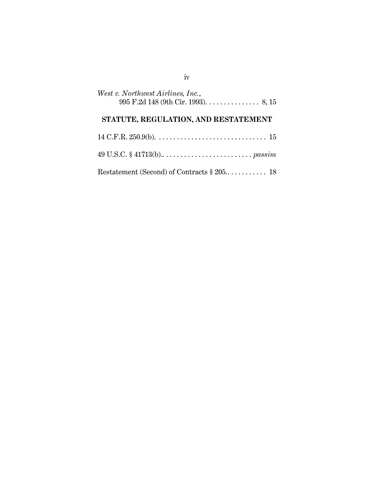| West v. Northwest Airlines, Inc.,<br>995 F.2d 148 (9th Cir. 1993). 8, 15 |
|--------------------------------------------------------------------------|
| STATUTE, REGULATION, AND RESTATEMENT                                     |
|                                                                          |
|                                                                          |
|                                                                          |

iv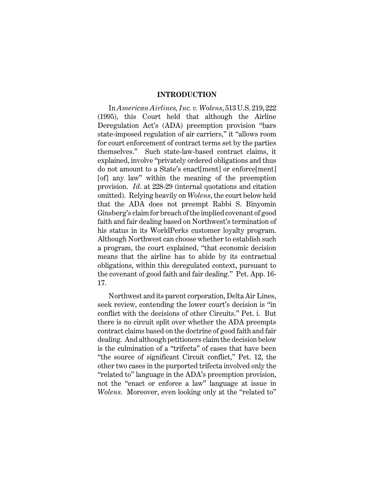#### **INTRODUCTION**

In *American Airlines, Inc. v. Wolens*, 513U.S. 219, 222 (1995), this Court held that although the Airline Deregulation Act's (ADA) preemption provision "bars state-imposed regulation of air carriers," it "allows room for court enforcement of contract terms set by the parties themselves." Such state-law-based contract claims, it explained, involve "privately ordered obligations and thus do not amount to a State's enact[ment] or enforce[ment] [of] any law" within the meaning of the preemption provision. *Id*. at 228-29 (internal quotations and citation omitted). Relying heavily on *Wolens*, the court below held that the ADA does not preempt Rabbi S. Binyomin Ginsberg's claim for breach of the implied covenant of good faith and fair dealing based on Northwest's termination of his status in its WorldPerks customer loyalty program. Although Northwest can choose whether to establish such a program, the court explained, "that economic decision means that the airline has to abide by its contractual obligations, within this deregulated context, pursuant to the covenant of good faith and fair dealing." Pet. App. 16- 17.

Northwest and its parent corporation, Delta Air Lines, seek review, contending the lower court's decision is "in conflict with the decisions of other Circuits." Pet. i. But there is no circuit split over whether the ADA preempts contract claims based on the doctrine of good faith and fair dealing. And although petitioners claim the decision below is the culmination of a "trifecta" of cases that have been "the source of significant Circuit conflict," Pet. 12, the other two cases in the purported trifecta involved only the "related to" language in the ADA's preemption provision, not the "enact or enforce a law" language at issue in *Wolens*. Moreover, even looking only at the "related to"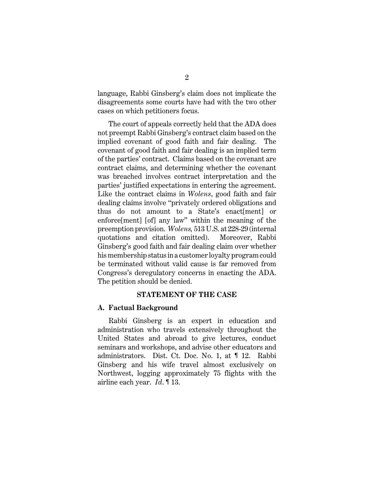language, Rabbi Ginsberg's claim does not implicate the disagreements some courts have had with the two other cases on which petitioners focus.

The court of appeals correctly held that the ADA does not preempt Rabbi Ginsberg's contract claim based on the implied covenant of good faith and fair dealing. The covenant of good faith and fair dealing is an implied term of the parties' contract. Claims based on the covenant are contract claims, and determining whether the covenant was breached involves contract interpretation and the parties' justified expectations in entering the agreement. Like the contract claims in *Wolens*, good faith and fair dealing claims involve "privately ordered obligations and thus do not amount to a State's enact[ment] or enforce[ment] [of] any law" within the meaning of the preemption provision. *Wolens,* 513U.S. at 228-29 (internal quotations and citation omitted). Moreover, Rabbi Ginsberg's good faith and fair dealing claim over whether his membership status ina customer loyalty program could be terminated without valid cause is far removed from Congress's deregulatory concerns in enacting the ADA. The petition should be denied.

#### **STATEMENT OF THE CASE**

#### **A. Factual Background**

Rabbi Ginsberg is an expert in education and administration who travels extensively throughout the United States and abroad to give lectures, conduct seminars and workshops, and advise other educators and administrators. Dist. Ct. Doc. No. 1, at ¶ 12. Rabbi Ginsberg and his wife travel almost exclusively on Northwest, logging approximately 75 flights with the airline each year. *Id*. ¶ 13.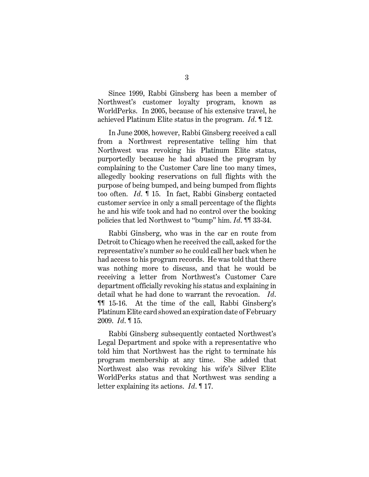Since 1999, Rabbi Ginsberg has been a member of Northwest's customer loyalty program, known as WorldPerks. In 2005, because of his extensive travel, he achieved Platinum Elite status in the program. *Id*. ¶ 12.

In June 2008, however, Rabbi Ginsberg received a call from a Northwest representative telling him that Northwest was revoking his Platinum Elite status, purportedly because he had abused the program by complaining to the Customer Care line too many times, allegedly booking reservations on full flights with the purpose of being bumped, and being bumped from flights too often. *Id*. ¶ 15. In fact, Rabbi Ginsberg contacted customer service in only a small percentage of the flights he and his wife took and had no control over the booking policies that led Northwest to "bump" him. *Id*. ¶¶ 33-34.

Rabbi Ginsberg, who was in the car en route from Detroit to Chicago when he received the call, asked for the representative's number so he could call her back when he had access to his program records. He was told that there was nothing more to discuss, and that he would be receiving a letter from Northwest's Customer Care department officially revoking his status and explaining in detail what he had done to warrant the revocation. *Id*. ¶¶ 15-16. At the time of the call, Rabbi Ginsberg's PlatinumElite card showed an expiration date of February 2009. *Id*. ¶ 15.

Rabbi Ginsberg subsequently contacted Northwest's Legal Department and spoke with a representative who told him that Northwest has the right to terminate his program membership at any time. She added that Northwest also was revoking his wife's Silver Elite WorldPerks status and that Northwest was sending a letter explaining its actions. *Id*. ¶ 17.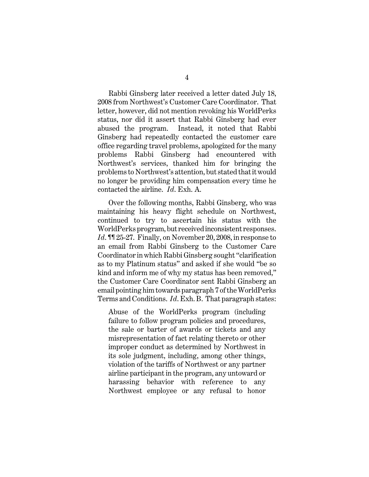Rabbi Ginsberg later received a letter dated July 18, 2008 from Northwest's Customer Care Coordinator. That letter, however, did not mention revoking his WorldPerks status, nor did it assert that Rabbi Ginsberg had ever abused the program. Instead, it noted that Rabbi Ginsberg had repeatedly contacted the customer care office regarding travel problems, apologized for the many problems Rabbi Ginsberg had encountered with Northwest's services, thanked him for bringing the problems to Northwest's attention, but stated that it would no longer be providing him compensation every time he contacted the airline. *Id*. Exh. A.

Over the following months, Rabbi Ginsberg, who was maintaining his heavy flight schedule on Northwest, continued to try to ascertain his status with the WorldPerks program, but receivedinconsistent responses. *Id*. ¶¶ 25-27. Finally, on November 20, 2008, in response to an email from Rabbi Ginsberg to the Customer Care Coordinator in which Rabbi Ginsberg sought "clarification as to my Platinum status" and asked if she would "be so kind and inform me of why my status has been removed," the Customer Care Coordinator sent Rabbi Ginsberg an email pointing him towards paragraph 7 of the WorldPerks Terms and Conditions. *Id*. Exh. B. That paragraph states:

Abuse of the WorldPerks program (including failure to follow program policies and procedures, the sale or barter of awards or tickets and any misrepresentation of fact relating thereto or other improper conduct as determined by Northwest in its sole judgment, including, among other things, violation of the tariffs of Northwest or any partner airline participant in the program, any untoward or harassing behavior with reference to any Northwest employee or any refusal to honor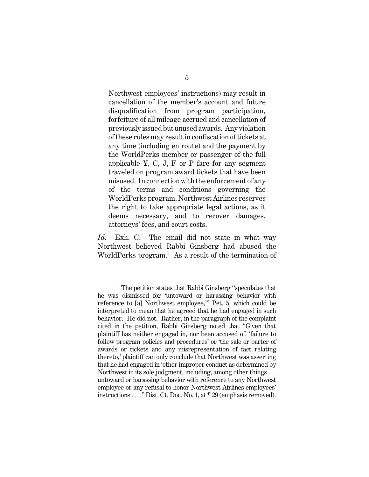Northwest employees' instructions) may result in cancellation of the member's account and future disqualification from program participation, forfeiture of all mileage accrued and cancellation of previously issued but unused awards. Any violation of these rules may result in confiscation of tickets at any time (including en route) and the payment by the WorldPerks member or passenger of the full applicable Y, C, J, F or P fare for any segment traveled on program award tickets that have been misused. In connection with the enforcement of any of the terms and conditions governing the WorldPerks program, Northwest Airlines reserves the right to take appropriate legal actions, as it deems necessary, and to recover damages, attorneys' fees, and court costs.

Id. Exh. C. The email did not state in what way Northwest believed Rabbi Ginsberg had abused the WorldPerks program.<sup>1</sup> As a result of the termination of

<sup>&</sup>lt;sup>1</sup>The petition states that Rabbi Ginsberg "speculates that he was dismissed for 'untoward or harassing behavior with reference to [a] Northwest employee,'" Pet. 5, which could be interpreted to mean that he agreed that he had engaged in such behavior. He did not. Rather, in the paragraph of the complaint cited in the petition, Rabbi Ginsberg noted that "Given that plaintiff has neither engaged in, nor been accused of, 'failure to follow program policies and procedures' or 'the sale or barter of awards or tickets and any misrepresentation of fact relating thereto,' plaintiff can only conclude that Northwest was asserting that he had engaged in 'other improper conduct as determined by Northwest in its sole judgment, including, among other things . . . untoward or harassing behavior with reference to any Northwest employee or any refusal to honor Northwest Airlines employees' instructions . . . ." Dist. Ct. Doc. No. 1, at ¶ 29 (emphasis removed).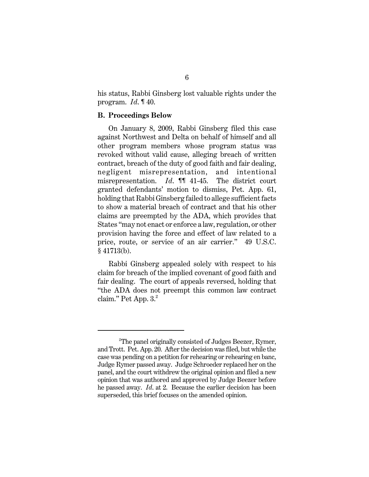his status, Rabbi Ginsberg lost valuable rights under the program. *Id*. ¶ 40.

#### **B. Proceedings Below**

On January 8, 2009, Rabbi Ginsberg filed this case against Northwest and Delta on behalf of himself and all other program members whose program status was revoked without valid cause, alleging breach of written contract, breach of the duty of good faith and fair dealing, negligent misrepresentation, and intentional misrepresentation. *Id*. ¶¶ 41-45. The district court granted defendants' motion to dismiss, Pet. App. 61, holding that Rabbi Ginsberg failed to allege sufficient facts to show a material breach of contract and that his other claims are preempted by the ADA, which provides that States "may not enact or enforce a law, regulation, or other provision having the force and effect of law related to a price, route, or service of an air carrier." 49 U.S.C.  $§$  41713(b).

Rabbi Ginsberg appealed solely with respect to his claim for breach of the implied covenant of good faith and fair dealing. The court of appeals reversed, holding that "the ADA does not preempt this common law contract claim." Pet App. 3.<sup>2</sup>

<sup>&</sup>lt;sup>2</sup>The panel originally consisted of Judges Beezer, Rymer, andTrott. Pet. App. 20. After the decision was filed, but while the case was pending on a petition for rehearing or rehearing en banc, Judge Rymer passed away. Judge Schroeder replaced her on the panel, and the court withdrew the original opinion and filed a new opinion that was authored and approved by Judge Beezer before he passed away. *Id*. at 2. Because the earlier decision has been superseded, this brief focuses on the amended opinion.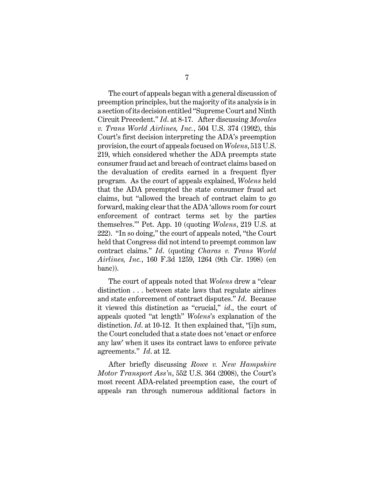The court of appeals began with a general discussion of preemption principles, but the majority of its analysis is in a section of its decision entitled "Supreme Court and Ninth Circuit Precedent." *Id*. at 8-17. After discussing *Morales v. Trans World Airlines, Inc.*, 504 U.S. 374 (1992), this Court's first decision interpreting the ADA's preemption provision, the court of appeals focused on *Wolens*, 513 U.S. 219, which considered whether the ADA preempts state consumer fraud act and breach of contract claims based on the devaluation of credits earned in a frequent flyer program. As the court of appeals explained, *Wolens* held that the ADA preempted the state consumer fraud act claims, but "allowed the breach of contract claim to go forward, making clear that the ADA 'allows room for court enforcement of contract terms set by the parties themselves.'" Pet. App. 10 (quoting *Wolens*, 219 U.S. at 222). "In so doing," the court of appeals noted, "the Court held that Congress did not intend to preempt common law contract claims." *Id*. (quoting *Charas v. Trans World Airlines, Inc.*, 160 F.3d 1259, 1264 (9th Cir. 1998) (en banc)).

The court of appeals noted that *Wolens* drew a "clear distinction . . . between state laws that regulate airlines and state enforcement of contract disputes." *Id*. Because it viewed this distinction as "crucial," *id*., the court of appeals quoted "at length" *Wolens*'s explanation of the distinction. *Id.* at 10-12. It then explained that, "[i]n sum, the Court concluded that a state does not 'enact or enforce any law' when it uses its contract laws to enforce private agreements." *Id*. at 12.

After briefly discussing *Rowe v. New Hampshire Motor Transport Ass'n*, 552 U.S. 364 (2008), the Court's most recent ADA-related preemption case, the court of appeals ran through numerous additional factors in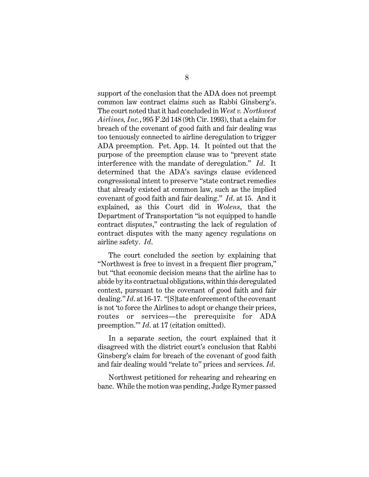support of the conclusion that the ADA does not preempt common law contract claims such as Rabbi Ginsberg's. The court noted that it had concluded in *West v. Northwest Airlines, Inc.*, 995 F.2d 148 (9th Cir. 1993), that a claim for breach of the covenant of good faith and fair dealing was too tenuously connected to airline deregulation to trigger ADA preemption. Pet. App. 14. It pointed out that the purpose of the preemption clause was to "prevent state interference with the mandate of deregulation." *Id*. It determined that the ADA's savings clause evidenced congressional intent to preserve "state contract remedies that already existed at common law, such as the implied covenant of good faith and fair dealing." *Id*. at 15. And it explained, as this Court did in *Wolens*, that the Department of Transportation "is not equipped to handle contract disputes," contrasting the lack of regulation of contract disputes with the many agency regulations on airline safety. *Id*.

The court concluded the section by explaining that "Northwest is free to invest in a frequent flier program," but "that economic decision means that the airline has to abide by its contractual obligations, within this deregulated context, pursuant to the covenant of good faith and fair dealing." *Id*. at 16-17. "[S]tate enforcement of the covenant is not 'to force the Airlines to adopt or change their prices, routes or services—the prerequisite for ADA preemption.'" *Id*. at 17 (citation omitted).

In a separate section, the court explained that it disagreed with the district court's conclusion that Rabbi Ginsberg's claim for breach of the covenant of good faith and fair dealing would "relate to" prices and services. *Id*.

Northwest petitioned for rehearing and rehearing en banc. While the motion was pending, Judge Rymer passed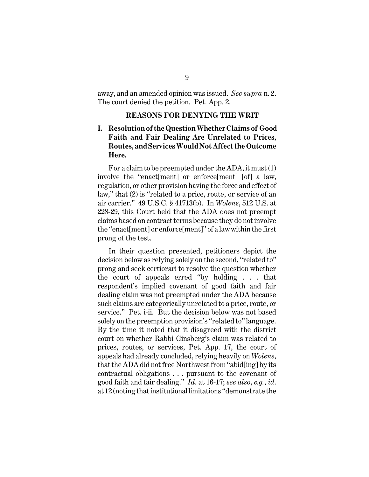away, and an amended opinion was issued. *See supra* n. 2. The court denied the petition. Pet. App. 2.

#### **REASONS FOR DENYING THE WRIT**

# **I. Resolution of the QuestionWhether Claims of Good Faith and Fair Dealing Are Unrelated to Prices, Routes, and Services Would Not Affect the Outcome Here.**

For a claim to be preempted under the ADA, it must (1) involve the "enact[ment] or enforce[ment] [of] a law, regulation, or other provision having the force and effect of law," that (2) is "related to a price, route, or service of an air carrier." 49 U.S.C. § 41713(b). In *Wolens*, 512 U.S. at 228-29, this Court held that the ADA does not preempt claims based on contract terms because they do not involve the "enact[ment] or enforce[ment]" of a law within the first prong of the test.

In their question presented, petitioners depict the decision below as relying solely on the second, "related to" prong and seek certiorari to resolve the question whether the court of appeals erred "by holding . . . that respondent's implied covenant of good faith and fair dealing claim was not preempted under the ADA because such claims are categorically unrelated to a price, route, or service." Pet. i-ii. But the decision below was not based solely on the preemption provision's "related to" language. By the time it noted that it disagreed with the district court on whether Rabbi Ginsberg's claim was related to prices, routes, or services, Pet. App. 17, the court of appeals had already concluded, relying heavily on *Wolens*, that the ADA did not free Northwest from "abid[ing] by its contractual obligations . . . pursuant to the covenant of good faith and fair dealing." *Id*. at 16-17; *see also*, *e.g.*, *id*. at 12 (noting that institutionallimitations "demonstrate the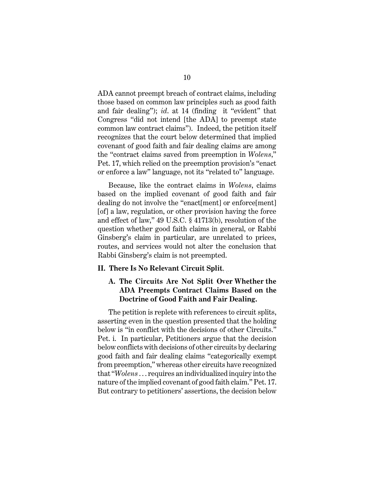ADA cannot preempt breach of contract claims, including those based on common law principles such as good faith and fair dealing"); *id*. at 14 (finding it "evident" that Congress "did not intend [the ADA] to preempt state common law contract claims"). Indeed, the petition itself recognizes that the court below determined that implied covenant of good faith and fair dealing claims are among the "contract claims saved from preemption in *Wolens*," Pet. 17, which relied on the preemption provision's "enact or enforce a law" language, not its "related to" language.

Because, like the contract claims in *Wolens*, claims based on the implied covenant of good faith and fair dealing do not involve the "enact[ment] or enforce[ment] [of] a law, regulation, or other provision having the force and effect of law," 49 U.S.C. § 41713(b), resolution of the question whether good faith claims in general, or Rabbi Ginsberg's claim in particular, are unrelated to prices, routes, and services would not alter the conclusion that Rabbi Ginsberg's claim is not preempted.

#### **II. There Is No Relevant Circuit Split**.

## **A. The Circuits Are Not Split Over Whether the ADA Preempts Contract Claims Based on the Doctrine of Good Faith and Fair Dealing.**

The petition is replete with references to circuit splits, asserting even in the question presented that the holding below is "in conflict with the decisions of other Circuits." Pet. i. In particular, Petitioners argue that the decision below conflicts with decisions of other circuits by declaring good faith and fair dealing claims "categorically exempt from preemption," whereas other circuits have recognized that "*Wolens* . . . requires an individualized inquiry into the nature of the implied covenant of good faith claim." Pet. 17. But contrary to petitioners' assertions, the decision below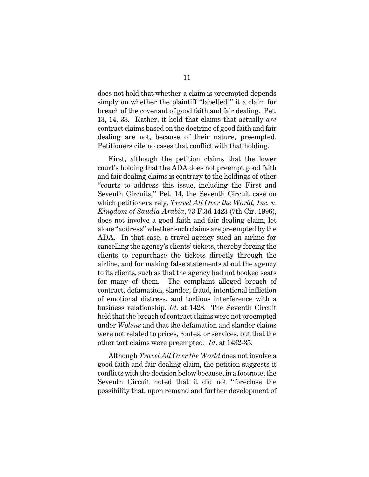does not hold that whether a claim is preempted depends simply on whether the plaintiff "label[ed]" it a claim for breach of the covenant of good faith and fair dealing. Pet. 13, 14, 33. Rather, it held that claims that actually *are* contract claims based on the doctrine of good faith and fair dealing are not, because of their nature, preempted. Petitioners cite no cases that conflict with that holding.

First, although the petition claims that the lower court's holding that the ADA does not preempt good faith and fair dealing claims is contrary to the holdings of other "courts to address this issue, including the First and Seventh Circuits," Pet. 14, the Seventh Circuit case on which petitioners rely, *Travel All Over the World, Inc. v. Kingdom of Saudia Arabia*, 73 F.3d 1423 (7th Cir. 1996), does not involve a good faith and fair dealing claim, let alone "address" whether such claims are preempted by the ADA. In that case, a travel agency sued an airline for cancelling the agency's clients' tickets, thereby forcing the clients to repurchase the tickets directly through the airline, and for making false statements about the agency to its clients, such as that the agency had not booked seats for many of them. The complaint alleged breach of contract, defamation, slander, fraud, intentional infliction of emotional distress, and tortious interference with a business relationship. *Id*. at 1428. The Seventh Circuit held that the breach of contract claims were not preempted under *Wolens* and that the defamation and slander claims were not related to prices, routes, or services, but that the other tort claims were preempted. *Id*. at 1432-35.

Although *Travel All Over the World* does not involve a good faith and fair dealing claim, the petition suggests it conflicts with the decision below because, in a footnote, the Seventh Circuit noted that it did not "foreclose the possibility that, upon remand and further development of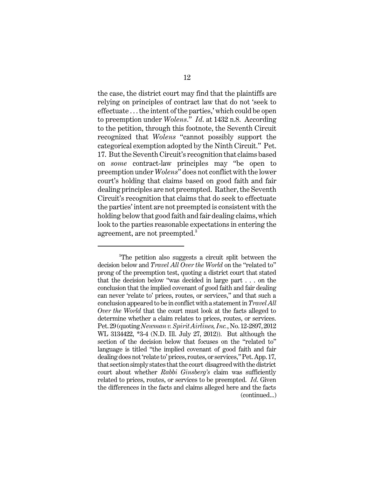the case, the district court may find that the plaintiffs are relying on principles of contract law that do not 'seek to effectuate . . . the intent of the parties,' which could be open to preemption under *Wolens*." *Id*. at 1432 n.8. According to the petition, through this footnote, the Seventh Circuit recognized that *Wolens* "cannot possibly support the categorical exemption adopted by the Ninth Circuit." Pet. 17. But the Seventh Circuit's recognition that claims based on *some* contract-law principles may "be open to preemption under *Wolens*" does not conflict with the lower court's holding that claims based on good faith and fair dealing principles are not preempted. Rather, the Seventh Circuit's recognition that claims that do seek to effectuate the parties' intent are not preempted is consistent with the holding below that good faith and fair dealing claims, which look to the parties reasonable expectations in entering the agreement, are not preempted.<sup>3</sup>

<sup>&</sup>lt;sup>3</sup>The petition also suggests a circuit split between the decision below and *Travel All Over the World* on the "related to" prong of the preemption test, quoting a district court that stated that the decision below "was decided in large part . . . on the conclusion that the implied covenant of good faith and fair dealing can never 'relate to' prices, routes, or services," and that such a conclusion appeared to be in conflict with a statementin*Travel All Over the World* that the court must look at the facts alleged to determine whether a claim relates to prices, routes, or services. Pet. 29(quoting*Newmanv. SpiritAirlines, Inc.*, No. 12-2897, 2012 WL 3134422, \*3-4 (N.D. Ill. July 27, 2012)). But although the section of the decision below that focuses on the "related to" language is titled "the implied covenant of good faith and fair dealing does not 'relate to' prices, routes, or services," Pet. App. 17, that section simply states that the court disagreed with the district court about whether *Rabbi Ginsberg's* claim was sufficiently related to prices, routes, or services to be preempted. *Id*. Given the differences in the facts and claims alleged here and the facts (continued...)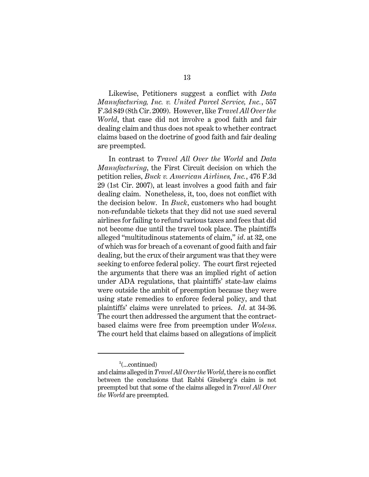Likewise, Petitioners suggest a conflict with *Data Manufacturing, Inc. v. United Parcel Service, Inc.*, 557 F.3d 849 (8th Cir. 2009). However, like *Travel All Over the World*, that case did not involve a good faith and fair dealing claim and thus does not speak to whether contract claims based on the doctrine of good faith and fair dealing are preempted.

In contrast to *Travel All Over the World* and *Data Manufacturing*, the First Circuit decision on which the petition relies, *Buck v. American Airlines, Inc.*, 476 F.3d 29 (1st Cir. 2007), at least involves a good faith and fair dealing claim. Nonetheless, it, too, does not conflict with the decision below. In *Buck*, customers who had bought non-refundable tickets that they did not use sued several airlines for failing to refund various taxes and fees that did not become due until the travel took place. The plaintiffs alleged "multitudinous statements of claim," *id*. at 32, one of which was for breach of a covenant of good faith and fair dealing, but the crux of their argument was that they were seeking to enforce federal policy. The court first rejected the arguments that there was an implied right of action under ADA regulations, that plaintiffs' state-law claims were outside the ambit of preemption because they were using state remedies to enforce federal policy, and that plaintiffs' claims were unrelated to prices. *Id*. at 34-36. The court then addressed the argument that the contractbased claims were free from preemption under *Wolens*. The court held that claims based on allegations of implicit

<sup>(...</sup>continued) 3

and claims alleged in*Travel All Over theWorld*, there is no conflict between the conclusions that Rabbi Ginsberg's claim is not preempted but that some of the claims alleged in *Travel All Over the World* are preempted.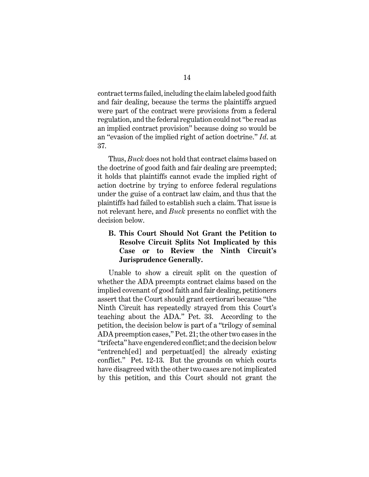contract terms failed, including the claim labeled good faith and fair dealing, because the terms the plaintiffs argued were part of the contract were provisions from a federal regulation, and the federal regulation could not "be read as an implied contract provision" because doing so would be an "evasion of the implied right of action doctrine." *Id*. at 37.

Thus, *Buck* does not hold that contract claims based on the doctrine of good faith and fair dealing are preempted; it holds that plaintiffs cannot evade the implied right of action doctrine by trying to enforce federal regulations under the guise of a contract law claim, and thus that the plaintiffs had failed to establish such a claim. That issue is not relevant here, and *Buck* presents no conflict with the decision below.

# **B. This Court Should Not Grant the Petition to Resolve Circuit Splits Not Implicated by this Case or to Review the Ninth Circuit's Jurisprudence Generally.**

Unable to show a circuit split on the question of whether the ADA preempts contract claims based on the implied covenant of good faith and fair dealing, petitioners assert that the Court should grant certiorari because "the Ninth Circuit has repeatedly strayed from this Court's teaching about the ADA." Pet. 33. According to the petition, the decision below is part of a "trilogy of seminal ADA preemption cases," Pet. 21; the other two cases in the "trifecta" have engendered conflict; and the decision below "entrench[ed] and perpetuat[ed] the already existing conflict." Pet. 12-13. But the grounds on which courts have disagreed with the other two cases are not implicated by this petition, and this Court should not grant the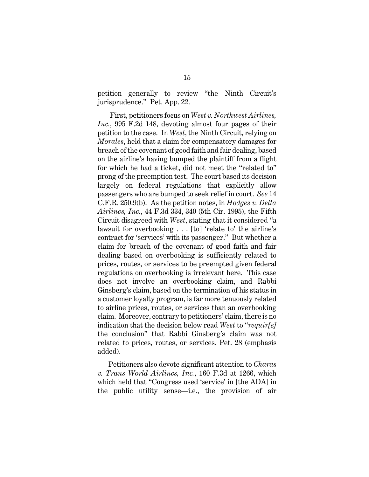petition generally to review "the Ninth Circuit's jurisprudence." Pet. App. 22.

First, petitioners focus on *West v. Northwest Airlines, Inc.*, 995 F.2d 148, devoting almost four pages of their petition to the case. In *West*, the Ninth Circuit, relying on *Morales*, held that a claim for compensatory damages for breach of the covenant of good faith and fair dealing, based on the airline's having bumped the plaintiff from a flight for which he had a ticket, did not meet the "related to" prong of the preemption test. The court based its decision largely on federal regulations that explicitly allow passengers who are bumped to seek relief in court. *See* 14 C.F.R. 250.9(b). As the petition notes, in *Hodges v. Delta Airlines, Inc.*, 44 F.3d 334, 340 (5th Cir. 1995), the Fifth Circuit disagreed with *West*, stating that it considered "a lawsuit for overbooking . . . [to] 'relate to' the airline's contract for 'services' with its passenger." But whether a claim for breach of the covenant of good faith and fair dealing based on overbooking is sufficiently related to prices, routes, or services to be preempted given federal regulations on overbooking is irrelevant here. This case does not involve an overbooking claim, and Rabbi Ginsberg's claim, based on the termination of his status in a customer loyalty program, is far more tenuously related to airline prices, routes, or services than an overbooking claim. Moreover, contrary to petitioners' claim, there is no indication that the decision below read *West* to "*requir[e]* the conclusion" that Rabbi Ginsberg's claim was not related to prices, routes, or services. Pet. 28 (emphasis added).

Petitioners also devote significant attention to *Charas v. Trans World Airlines, Inc.*, 160 F.3d at 1266, which which held that "Congress used 'service' in [the ADA] in the public utility sense—i.e., the provision of air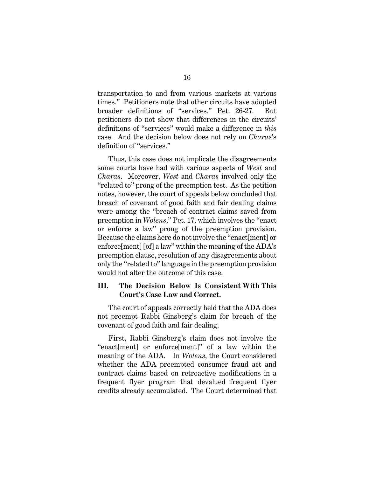transportation to and from various markets at various times." Petitioners note that other circuits have adopted broader definitions of "services." Pet. 26-27. But petitioners do not show that differences in the circuits' definitions of "services" would make a difference in *this* case. And the decision below does not rely on *Charas*'s definition of "services."

Thus, this case does not implicate the disagreements some courts have had with various aspects of *West* and *Charas*. Moreover, *West* and *Charas* involved only the "related to" prong of the preemption test. As the petition notes, however, the court of appeals below concluded that breach of covenant of good faith and fair dealing claims were among the "breach of contract claims saved from preemption in *Wolens*," Pet. 17, which involves the "enact or enforce a law" prong of the preemption provision. Because the claims here do not involve the "enact[ment] or enforce[ment] [of] a law" within the meaning of the ADA's preemption clause, resolution of any disagreements about only the "related to" language in the preemption provision would not alter the outcome of this case.

# **III. The Decision Below Is Consistent With This Court's Case Law and Correct.**

The court of appeals correctly held that the ADA does not preempt Rabbi Ginsberg's claim for breach of the covenant of good faith and fair dealing.

First, Rabbi Ginsberg's claim does not involve the "enact[ment] or enforce[ment]" of a law within the meaning of the ADA. In *Wolens*, the Court considered whether the ADA preempted consumer fraud act and contract claims based on retroactive modifications in a frequent flyer program that devalued frequent flyer credits already accumulated. The Court determined that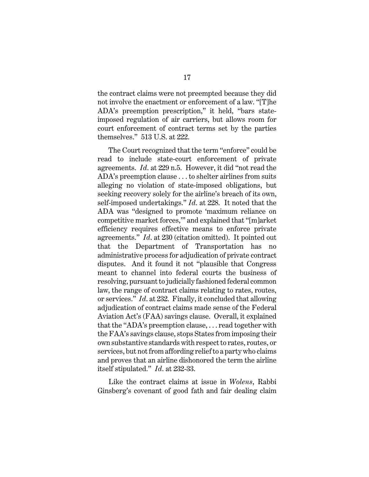the contract claims were not preempted because they did not involve the enactment or enforcement of a law. "[T]he ADA's preemption prescription," it held, "bars stateimposed regulation of air carriers, but allows room for court enforcement of contract terms set by the parties themselves." 513 U.S. at 222.

The Court recognized that the term "enforce" could be read to include state-court enforcement of private agreements. *Id*. at 229 n.5. However, it did "not read the ADA's preemption clause . . . to shelter airlines from suits alleging no violation of state-imposed obligations, but seeking recovery solely for the airline's breach of its own, self-imposed undertakings." *Id*. at 228. It noted that the ADA was "designed to promote 'maximum reliance on competitive market forces,'" and explained that "[m]arket efficiency requires effective means to enforce private agreements." *Id*. at 230 (citation omitted). It pointed out that the Department of Transportation has no administrative process for adjudication of private contract disputes. And it found it not "plausible that Congress meant to channel into federal courts the business of resolving, pursuant to judicially fashioned federal common law, the range of contract claims relating to rates, routes, or services." *Id*. at 232. Finally, it concluded that allowing adjudication of contract claims made sense of the Federal Aviation Act's (FAA) savings clause. Overall, it explained that the "ADA's preemption clause, . . . read together with the FAA's savings clause, stops States from imposing their own substantive standards with respect to rates, routes, or services, but not from affording relief to a party who claims and proves that an airline dishonored the term the airline itself stipulated." *Id*. at 232-33.

Like the contract claims at issue in *Wolens*, Rabbi Ginsberg's covenant of good fath and fair dealing claim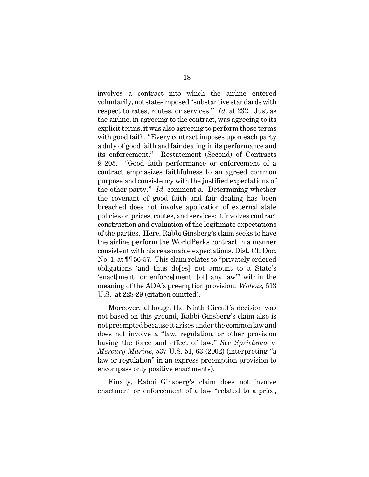involves a contract into which the airline entered voluntarily, not state-imposed "substantive standards with respect to rates, routes, or services." *Id*. at 232. Just as the airline, in agreeing to the contract, was agreeing to its explicit terms, it was also agreeing to perform those terms with good faith. "Every contract imposes upon each party a duty of good faith and fair dealing in its performance and its enforcement." Restatement (Second) of Contracts § 205. "Good faith performance or enforcement of a contract emphasizes faithfulness to an agreed common purpose and consistency with the justified expectations of the other party." *Id*. comment a. Determining whether the covenant of good faith and fair dealing has been breached does not involve application of external state policies on prices, routes, and services; it involves contract construction and evaluation of the legitimate expectations of the parties. Here, Rabbi Ginsberg's claim seeks to have the airline perform the WorldPerks contract in a manner consistent with his reasonable expectations. Dist. Ct. Doc. No. 1, at ¶¶ 56-57. This claim relates to "privately ordered obligations 'and thus do[es] not amount to a State's 'enact[ment] or enforce[ment] [of] any law'" within the meaning of the ADA's preemption provision. *Wolens,* 513 U.S. at 228-29 (citation omitted).

Moreover, although the Ninth Circuit's decision was not based on this ground, Rabbi Ginsberg's claim also is notpreempted because it arises under the common lawand does not involve a "law, regulation, or other provision having the force and effect of law." *See Sprietsma v. Mercury Marine*, 537 U.S. 51, 63 (2002) (interpreting "a law or regulation" in an express preemption provision to encompass only positive enactments).

Finally, Rabbi Ginsberg's claim does not involve enactment or enforcement of a law "related to a price,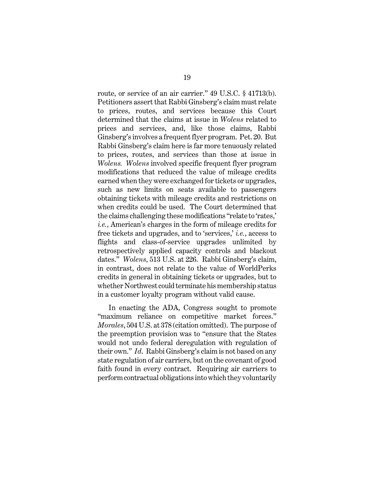route, or service of an air carrier." 49 U.S.C. § 41713(b). Petitioners assert that Rabbi Ginsberg's claim must relate to prices, routes, and services because this Court determined that the claims at issue in *Wolens* related to prices and services, and, like those claims, Rabbi Ginsberg's involves a frequent flyer program. Pet. 20. But Rabbi Ginsberg's claim here is far more tenuously related to prices, routes, and services than those at issue in *Wolens. Wolens* involved specific frequent flyer program modifications that reduced the value of mileage credits earned when they were exchanged for tickets or upgrades, such as new limits on seats available to passengers obtaining tickets with mileage credits and restrictions on when credits could be used. The Court determined that the claims challenging these modifications "relate to 'rates,' *i.e.*, American's charges in the form of mileage credits for free tickets and upgrades, and to 'services,' *i.e.*, access to flights and class-of-service upgrades unlimited by retrospectively applied capacity controls and blackout dates." *Wolens*, 513 U.S. at 226. Rabbi Ginsberg's claim, in contrast, does not relate to the value of WorldPerks credits in general in obtaining tickets or upgrades, but to whether Northwest could terminate his membership status in a customer loyalty program without valid cause.

In enacting the ADA, Congress sought to promote "maximum reliance on competitive market forces." *Morales*, 504 U.S. at 378 (citation omitted). The purpose of the preemption provision was to "ensure that the States would not undo federal deregulation with regulation of their own." *Id*. Rabbi Ginsberg's claim is not based on any state regulation of air carriers, but on the covenant of good faith found in every contract. Requiring air carriers to performcontractual obligations into which they voluntarily